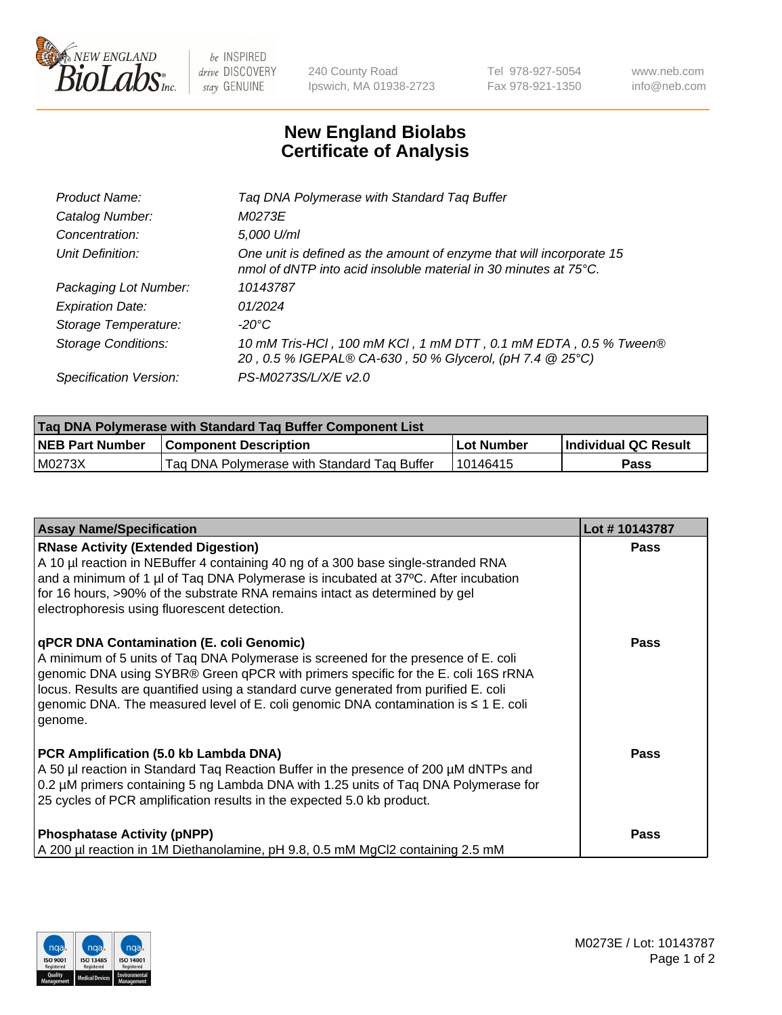

 $be$  INSPIRED drive DISCOVERY stay GENUINE

240 County Road Ipswich, MA 01938-2723 Tel 978-927-5054 Fax 978-921-1350 www.neb.com info@neb.com

## **New England Biolabs Certificate of Analysis**

| Product Name:              | Tag DNA Polymerase with Standard Tag Buffer                                                                                              |
|----------------------------|------------------------------------------------------------------------------------------------------------------------------------------|
| Catalog Number:            | M0273E                                                                                                                                   |
| Concentration:             | 5,000 U/ml                                                                                                                               |
| Unit Definition:           | One unit is defined as the amount of enzyme that will incorporate 15<br>nmol of dNTP into acid insoluble material in 30 minutes at 75°C. |
| Packaging Lot Number:      | 10143787                                                                                                                                 |
| <b>Expiration Date:</b>    | 01/2024                                                                                                                                  |
| Storage Temperature:       | $-20^{\circ}$ C                                                                                                                          |
| <b>Storage Conditions:</b> | 10 mM Tris-HCl, 100 mM KCl, 1 mM DTT, 0.1 mM EDTA, 0.5 % Tween®<br>20, 0.5 % IGEPAL® CA-630, 50 % Glycerol, (pH 7.4 @ 25°C)              |
| Specification Version:     | PS-M0273S/L/X/E v2.0                                                                                                                     |

| Tag DNA Polymerase with Standard Tag Buffer Component List |                                             |              |                      |  |
|------------------------------------------------------------|---------------------------------------------|--------------|----------------------|--|
| <b>NEB Part Number</b>                                     | <b>Component Description</b>                | l Lot Number | Individual QC Result |  |
| M0273X                                                     | Tag DNA Polymerase with Standard Tag Buffer | 10146415     | Pass                 |  |

| <b>Assay Name/Specification</b>                                                                                                                                                                                                                                                                                                                                                                                    | Lot #10143787 |
|--------------------------------------------------------------------------------------------------------------------------------------------------------------------------------------------------------------------------------------------------------------------------------------------------------------------------------------------------------------------------------------------------------------------|---------------|
| <b>RNase Activity (Extended Digestion)</b><br>A 10 µl reaction in NEBuffer 4 containing 40 ng of a 300 base single-stranded RNA<br>and a minimum of 1 µl of Taq DNA Polymerase is incubated at 37°C. After incubation<br>for 16 hours, >90% of the substrate RNA remains intact as determined by gel<br>electrophoresis using fluorescent detection.                                                               | <b>Pass</b>   |
| qPCR DNA Contamination (E. coli Genomic)<br>A minimum of 5 units of Taq DNA Polymerase is screened for the presence of E. coli<br>genomic DNA using SYBR® Green qPCR with primers specific for the E. coli 16S rRNA<br>locus. Results are quantified using a standard curve generated from purified E. coli<br>genomic DNA. The measured level of E. coli genomic DNA contamination is $\leq 1$ E. coli<br>genome. | <b>Pass</b>   |
| PCR Amplification (5.0 kb Lambda DNA)<br>A 50 µl reaction in Standard Taq Reaction Buffer in the presence of 200 µM dNTPs and<br>0.2 µM primers containing 5 ng Lambda DNA with 1.25 units of Tag DNA Polymerase for<br>25 cycles of PCR amplification results in the expected 5.0 kb product.                                                                                                                     | <b>Pass</b>   |
| <b>Phosphatase Activity (pNPP)</b><br>A 200 µl reaction in 1M Diethanolamine, pH 9.8, 0.5 mM MgCl2 containing 2.5 mM                                                                                                                                                                                                                                                                                               | Pass          |